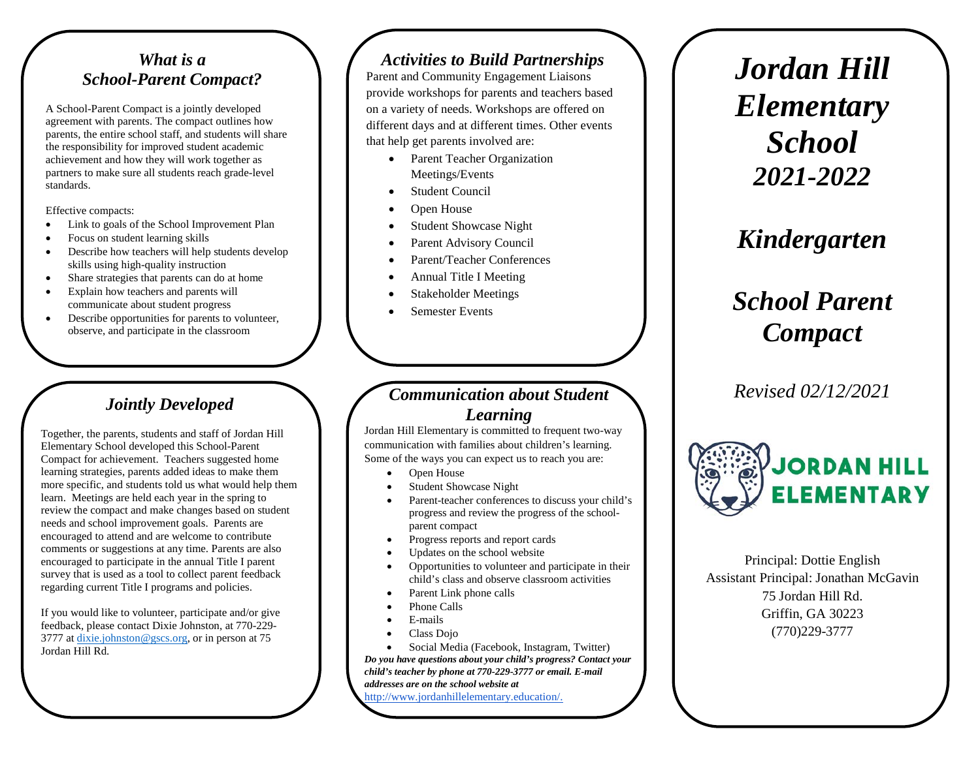#### *What is a School-Parent Compact?*

A School-Parent Compact is a jointly developed agreement with parents. The compact outlines how parents, the entire school staff, and students will share the responsibility for improved student academic achievement and how they will work together as partners to make sure all students reach grade-level standards.

Effective compacts:

- Link to goals of the School Improvement Plan
- Focus on student learning skills
- Describe how teachers will help students develop skills using high-quality instruction
- Share strategies that parents can do at home
- Explain how teachers and parents will communicate about student progress
- Describe opportunities for parents to volunteer, observe, and participate in the classroom

### *Jointly Developed*

Together, the parents, students and staff of Jordan Hill Elementary School developed this School-Parent Compact for achievement. Teachers suggested home learning strategies, parents added ideas to make them more specific, and students told us what would help them learn. Meetings are held each year in the spring to review the compact and make changes based on student needs and school improvement goals. Parents are encouraged to attend and are welcome to contribute comments or suggestions at any time. Parents are also encouraged to participate in the annual Title I parent survey that is used as a tool to collect parent feedback regarding current Title I programs and policies.

If you would like to volunteer, participate and/or give feedback, please contact Dixie Johnston, at 770-229- 3777 at [dixie.johnston@gscs.org,](mailto:dixie.johnston@gscs.org) or in person at 75 Jordan Hill Rd.

#### *Activities to Build Partnerships*

Parent and Community Engagement Liaisons provide workshops for parents and teachers based on a variety of needs. Workshops are offered on different days and at different times. Other events that help get parents involved are:

- Parent Teacher Organization Meetings/Events
- **Student Council**
- Open House
- Student Showcase Night
- Parent Advisory Council
- Parent/Teacher Conferences
- Annual Title I Meeting
- Stakeholder Meetings
- Semester Events

### *Communication about Student Learning*

Jordan Hill Elementary is committed to frequent two-way communication with families about children's learning. Some of the ways you can expect us to reach you are:

- Open House
- Student Showcase Night
- Parent-teacher conferences to discuss your child's progress and review the progress of the schoolparent compact
- Progress reports and report cards
- Updates on the school website
- Opportunities to volunteer and participate in their child's class and observe classroom activities
- Parent Link phone calls
- Phone Calls
- E-mails
- Class Dojo
- Social Media (Facebook, Instagram, Twitter)

*Do you have questions about your child's progress? Contact your child's teacher by phone at 770-229-3777 or email. E-mail addresses are on the school website at*

[http://www.jordanhillelementary.education/.](http://www.jordanhillelementary.education/) 

*Jordan Hill Elementary School 2021-2022*

# *Kindergarten*

# *School Parent Compact*

*Revised 02/12/2021*



Principal: Dottie English Assistant Principal: Jonathan McGavin 75 Jordan Hill Rd. Griffin, GA 30223 (770)229-3777